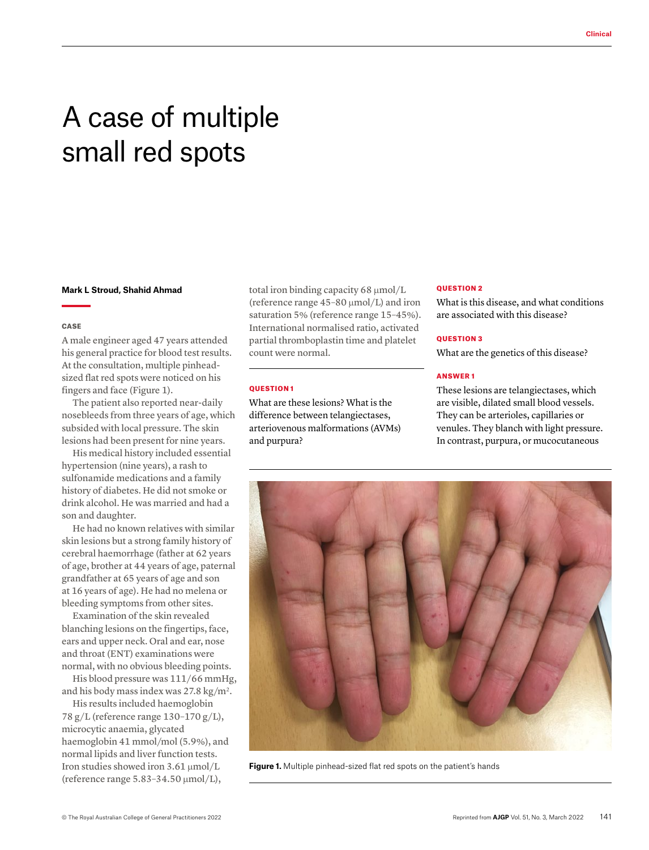# A case of multiple small red spots

#### **Mark L Stroud, Shahid Ahmad**

#### **CASE**

A male engineer aged 47 years attended his general practice for blood test results. At the consultation, multiple pinheadsized flat red spots were noticed on his fingers and face (Figure 1).

The patient also reported near-daily nosebleeds from three years of age, which subsided with local pressure. The skin lesions had been present for nine years.

His medical history included essential hypertension (nine years), a rash to sulfonamide medications and a family history of diabetes. He did not smoke or drink alcohol. He was married and had a son and daughter.

He had no known relatives with similar skin lesions but a strong family history of cerebral haemorrhage (father at 62 years of age, brother at 44 years of age, paternal grandfather at 65 years of age and son at 16 years of age). He had no melena or bleeding symptoms from other sites.

Examination of the skin revealed blanching lesions on the fingertips, face, ears and upper neck. Oral and ear, nose and throat (ENT) examinations were normal, with no obvious bleeding points.

His blood pressure was 111/66 mmHg, and his body mass index was 27.8 kg/m2.

His results included haemoglobin 78 g/L (reference range 130–170 g/L), microcytic anaemia, glycated haemoglobin 41 mmol/mol (5.9%), and normal lipids and liver function tests. Iron studies showed iron 3.61 μmol/L (reference range 5.83–34.50 μmol/L),

total iron binding capacity 68 μmol/L (reference range 45–80 μmol/L) and iron saturation 5% (reference range 15–45%). International normalised ratio, activated partial thromboplastin time and platelet count were normal.

## QUESTION 1

What are these lesions? What is the difference between telangiectases, arteriovenous malformations (AVMs) and purpura?

#### QUESTION 2

What is this disease, and what conditions are associated with this disease?

#### QUESTION 3

What are the genetics of this disease?

### ANSWER 1

These lesions are telangiectases, which are visible, dilated small blood vessels. They can be arterioles, capillaries or venules. They blanch with light pressure. In contrast, purpura, or mucocutaneous



**Figure 1.** Multiple pinhead-sized flat red spots on the patient's hands